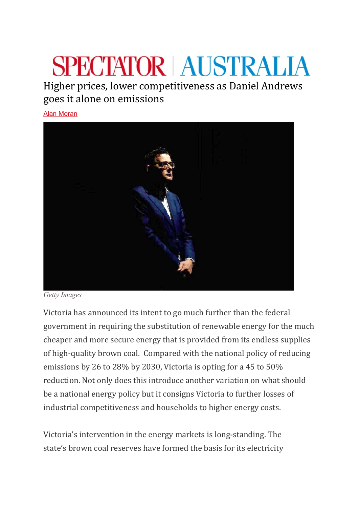## **SPECTATOR AUSTRALIA**

Higher prices, lower competitiveness as Daniel Andrews goes it alone on emissions

[Alan Moran](https://www.spectator.com.au/author/alanmoran/)



*Getty Images*

Victoria has announced its intent to go much further than the federal government in requiring the substitution of renewable energy for the much cheaper and more secure energy that is provided from its endless supplies of high-quality brown coal. Compared with the national policy of reducing emissions by 26 to 28% by 2030, Victoria is opting for a 45 to 50% reduction. Not only does this introduce another variation on what should be a national energy policy but it consigns Victoria to further losses of industrial competitiveness and households to higher energy costs.

Victoria's intervention in the energy markets is long-standing. The state's brown coal reserves have formed the basis for its electricity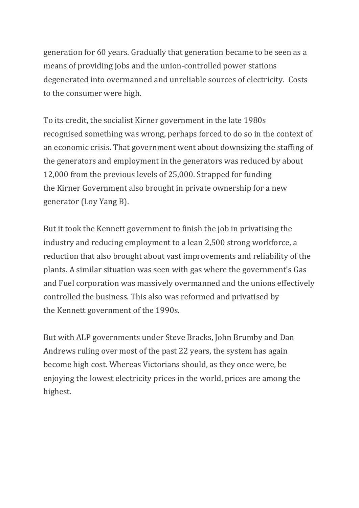generation for 60 years. Gradually that generation became to be seen as a means of providing jobs and the union-controlled power stations degenerated into overmanned and unreliable sources of electricity. Costs to the consumer were high.

To its credit, the socialist Kirner government in the late 1980s recognised something was wrong, perhaps forced to do so in the context of an economic crisis. That government went about downsizing the staffing of the generators and employment in the generators was reduced by about 12,000 from the previous levels of 25,000. Strapped for funding the Kirner Government also brought in private ownership for a new generator (Loy Yang B).

But it took the Kennett government to finish the job in privatising the industry and reducing employment to a lean 2,500 strong workforce, a reduction that also brought about vast improvements and reliability of the plants. A similar situation was seen with gas where the government's Gas and Fuel corporation was massively overmanned and the unions effectively controlled the business. This also was reformed and privatised by the Kennett government of the 1990s.

But with ALP governments under Steve Bracks, John Brumby and Dan Andrews ruling over most of the past 22 years, the system has again become high cost. Whereas Victorians should, as they once were, be enjoying the lowest electricity prices in the world, prices are among the highest.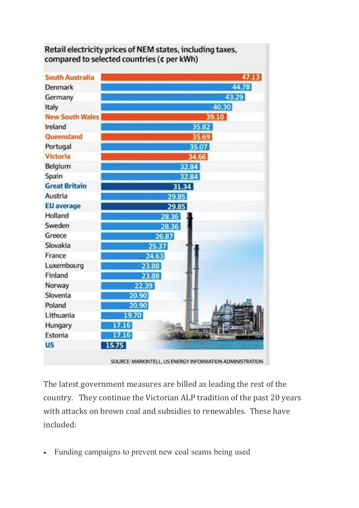| <b>South Australia</b> |       |       | 47.13 |
|------------------------|-------|-------|-------|
| Denmark                |       |       | 44.78 |
| Germany                | 43.29 |       |       |
| Italy                  |       |       | 40.30 |
| <b>New South Wales</b> | 39.10 |       |       |
| Ireland                | 35.82 |       |       |
| Queensland             | 35.69 |       |       |
| Portugal               | 35.07 |       |       |
| Victoria               | 34.66 |       |       |
| Belgium                | 32.84 |       |       |
| Spain                  | 32.84 |       |       |
| <b>Great Britain</b>   | 31.34 |       |       |
| Austria                | 29.85 |       |       |
| <b>EU</b> average      | 29.85 |       |       |
| Holland                |       | 28.36 |       |
| Sweden                 |       | 28.36 |       |
| Greece                 |       | 26.87 |       |
| Slovakia               |       | 25.37 |       |
| France                 |       | 24.63 |       |
| Luxembourg             | 23.88 |       |       |
| Finland                | 23.88 |       |       |
| Norway                 | 22.39 |       |       |
| Slovenia               | 20.90 |       |       |
| Poland                 | 20.90 |       |       |
| Lithuania              | 19.70 |       |       |
| Hungary                | 17.16 |       |       |
| Estonia                | 17.16 |       |       |
| <b>US</b>              | 15.75 |       |       |

## Retail electricity prices of NEM states, including taxes, compared to selected countries (¢ per kWh)

SOURCE: MARKINTELL, US ENERGY INFORMATION ADMINISTRATION

The latest government measures are billed as leading the rest of the country. They continue the Victorian ALP tradition of the past 20 years with attacks on brown coal and subsidies to renewables. These have included:

• Funding campaigns to prevent new coal seams being used